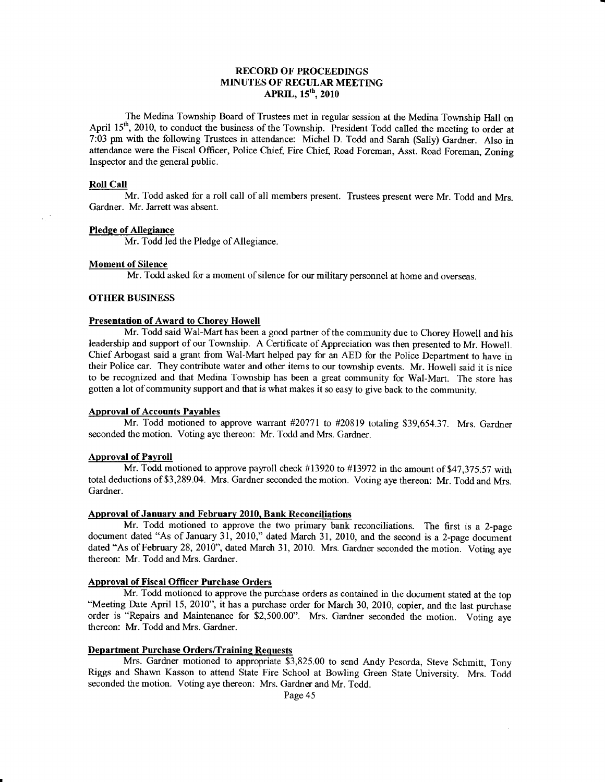# RECORD OF PROCEEDINGS MINUTES OF REGULAR MEETING APRIL, 15<sup>th</sup>, 2010

The Medina Township Board of Trustees met in regular session at the Medina Township Hall on April  $15<sup>th</sup>$ , 2010, to conduct the business of the Township. President Todd called the meeting to order at 7:03 pm with the following Trustees in attendance: Michel D. Todd and Sarah (Sally) Gardner. Also in attendance were the Fiscal Officer, Police Chief, Fire Chief, Road Foreman, Asst. Road Foreman, Zoning lnspector and the general public.

#### Roll Call

Mr. Todd asked for a roll call of all members present. Trustees present were Mr. Todd and Mrs. Gardner. Mr. Jarrett was absent.

#### Pledge of Allegiance

Mr. Todd led the Pledge of Allegiance.

#### Moment of Silence

Mr. Todd asked for a moment of silence for our military personnel at home and overseas.

#### **OTHER BUSINESS**

#### Presentation of Award to Chorey Howell

Mr. Todd said Wal-Mart has been a good partner of the community due to Chorey Howell and his leadership and support of our Township. A Certificate of Appreciation was then presented to Mr. Howell. Chief Arbogast said a grant from Wal-Mart helped pay for an AED for the Police Department to have in their Police car. They contribute water and other items to our township events. Mr. Howell said it is nice to be recognized and that Medina Township has been a great community for Wal-Mart. The store has gotten a lot of community support and that is what makes it so easy to give back to the community.

#### Approval of Accounts Payables

Mr. Todd motioned to approve warrant #20771 to #20819 totaling \$39,654.37. Mrs. Gardner seconded the motion. Voting aye thereon: Mr. Todd and Mrs. Gardner.

#### Approval of Payroll

Mr. Todd motioned to approve payroll check #13920 to #13972 in the amount of 547,315.5? with total deductions of \$3,289.04. Mrs. Gardner seconded the motion. Voting aye thereon: Mr. Todd and Mrs. Gardner.

#### Approval of January and February 2010, Bank Reconciliations

Mr. Todd motioned to approve the two primary bank reconciliations. The first is a 2-page document dated "As of January 31, 2010," dated March 31, 2010, and the second is a 2-page document dated "As of February 28, 2010", dated March 31, 2010. Mrs. Gardner seconded the motion. Voting aye thereon: Mr. Todd and Mrs. Gardner.

# Approval of Fiscal Officer Purchase Orders

Mr. Todd motioned to approve the purchase orders as contained in the document stated at the top "Meeting Date April 15, 2010", it has a purchase order for March 30, 2010, copier, and the last purchase order is "Repairs and Maintenance for \$2,500.00". Mrs. Gardner seconded the motion. Voting aye thereon: Mr. Todd and Mrs. Gardner.

#### Department Purchase Orders/Training Requests

Mrs. Gardner motioned to appropriate \$3,825.00 to send Andy Pesorda, Steve Schmitt, Tony Riggs and Shawn Kasson to attend State Fire School at Bowling Green State University. Mrs. Toddseconded the motion. Voting aye thereon: Mrs. Gardner and Mr. Todd.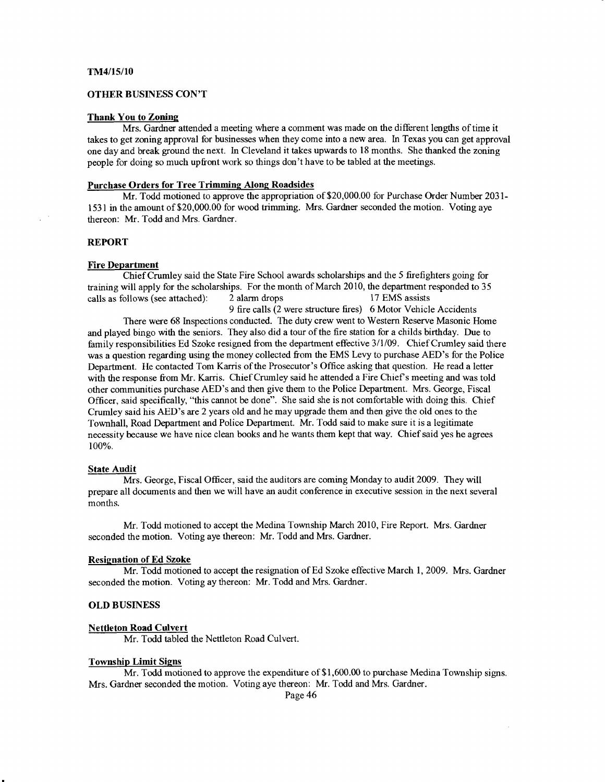#### **OTHER BUSINESS CON'T**

#### Thank You to Zoning

Mrs. Gardner attended a meeting where a comment was made on the different lengths of time it takes to get zoning approval for businesses when they come into a new area. In Texas you can get approval one day and break ground the next. ln Cleveland it takes upwards to 18 months. She thanked the zoning people for doing so much upfront work so things don't have to be tabled at the meetings.

#### Purchase Orders for Tree Trimming Along Roadsides

Mr. Todd motioned to approve the appropriation of \$20,000.00 for Purchase Order Number 2031- 153 I in the amount of \$20,000.00 for wood trimming. Mrs. Gardner seconded the motion. Voting aye thereon: Mr. Todd and Mrs. Gardner.

#### REPORT

#### Fire Department

Chief Crumley said the State Fire School awards scholarships and the 5 firefighters going for training will apply for the scholarships. For the month of March 2010, the department responded to 35 calls as follows (see attached): 2 alarm drops l 17 EMS assists 9 fire calls (2 were structure fires) 6 Motor Vehicle Accidents There were 68 Inspections conducted. The duty crew went to Western Reserve Masonic Home and played bingo with the seniors. They also did a tour of the fire station for a childs birthday. Due to family responsibilities Ed Szoke resigned from the department effective 3/1/09. Chief Crumley said there was a question regarding using the money collected from the EMS Levy to purchase AED's for the Police Department. He contacted Tom Karris of the Prosecutor's Office asking that question. He read a letter with the response from Mr. Karris. Chief Crumley said he attended a Fire Chief's meeting and was told other communities purchase AED's and then give them to the Police Departnent. Mrs. George, Fiscal Officer, said specifically, "this cannot be done". She said she is not comfortable with doing this. Chief Crumley said his AED's are 2 years old and he may upgrade them and then give the old ones to the Townhall, Road Departrnent and Police Department. Mr. Todd said to make sure it is a legitimate necessity because we have nice clean books and he wants them kept that way. Chief said yes he agrees 100%.

#### **State Audit**

Mrs. George, Fiscal Officer, said the auditors are coming Monday to audit 2009. They will prepare all documents and then we will have an audit conference in executive session in the next several months.

Mr. Todd motioned to accept the Medina Township March 2010, Fire Report. Mrs. Gardner seconded the motion. Voting aye thereon: Mr. Todd and Mrs. Gardner.

#### Resignation of Ed Szoke

Mr. Todd motioned to accept the resignation of Ed Szoke effective March l, 2009. Mrs. Gardner seconded the motion. Voting ay thereon: Mr. Todd and Mrs. Gardner.

#### OLD BUSINESS

# Nettleton Road Culvert

Mr. Todd tabled the Nettleton Road Culvert.

#### **Township Limit Signs**

Mr. Todd motioned to approve the expenditure of \$1,600.00 to pwchase Medina Township signs. Mrs. Gardner seconded the motion. Voting aye thereon: Mr. Todd and Mrs. Gardner.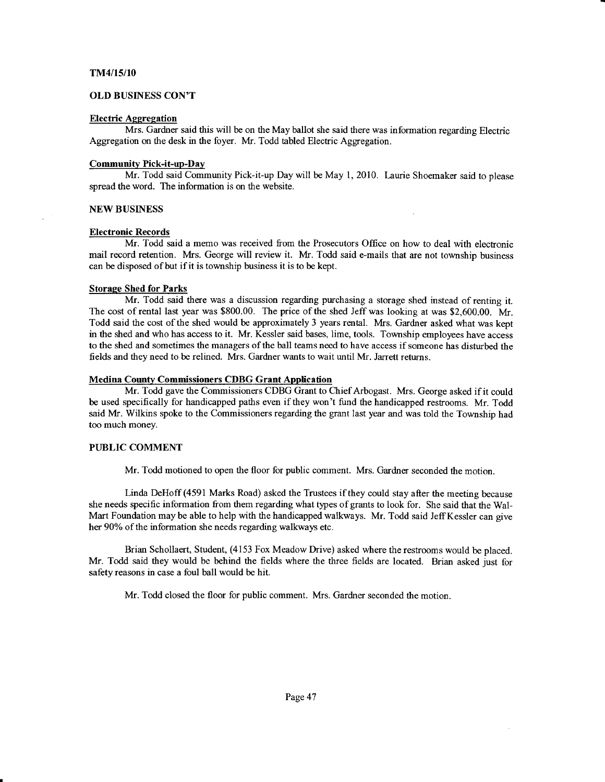# TM4/15/10

# OLD BUSINESS CON'T

#### Electric Aggregation

Mrs. Gardner said this will be on the May ballot she said there was information regarding Electric Aggregation on the desk in the foyer. Mr. Todd tabled Electric Aggregation.

#### Community Pick-it-up-Dav

Mr. Todd said Community Pick-it-up Day will be May 1, 2010. Laurie Shoemaker said to please spread the word. The information is on the website.

#### NEW BUSINESS

#### Electronic Records

Mr. Todd said a merno was received from the Prosecutors Office on how to deal with elecfronic mail record retention. Mrs. George will review it. Mr. Todd said e-mails that are not township business can be disposed of but if it is township business it is to be kept.

#### Storage Shed for Parks

Mr. Todd said there was a discussion regarding purchasing a storage shed instead of renting it. The cost of rental last year was \$800.00. The price of the shed Jeff was looking at was \$2,600.00. Mr. Todd said the cost of the shed would be approximately 3 years rental. Mrs. Gardner asked what was kept in the stred and who has access to it. Mr. Kessler said bases, lime, tools. Township employees have access to the shed and sometimes the managers of the ball teams need to have access if someone has disturbed the fields and they need to be relined. Mrs. Gardner wants to wait until Mr. Jarrett returns.

#### Medina County Commissioners CDBG Grant Application

Mr. Todd gave the Commissioners CDBG Grant to Chief Arbogast. Mrs. George asked if it could be used specifically for handicapped paths even if they won't fund the handicapped restooms. Mr. Todd said Mr. Wilkins spoke to the Commissioners regarding the grant last year and was told the Township had too much money.

#### PUBLIC COMMENT

Mr. Todd motioned to open the floor for public comment. Mrs. Gardner seconded the motion.

Linda DeHoff (4591 Marks Road) asked the Trustees if they could stay after the meeting because she needs specific information from them regarding what types of grants to look for. She said that the Wal-Mart Foundation may be able to help with the handicapped walkways. Mr. Todd said JeffKessler can give her 90% of the information she needs regarding walkways etc.

Brian Schollaert, Student, (4153 Fox Meadow Drive) asked where the restrooms would be placed. Mr. Todd said they would be behind the fields where the three fields are located. Brian asked just for safety reasons in case a foul ball would be hit.

Mr. Todd closed the floor for public comment. Mrs. Gardner seconded the motion.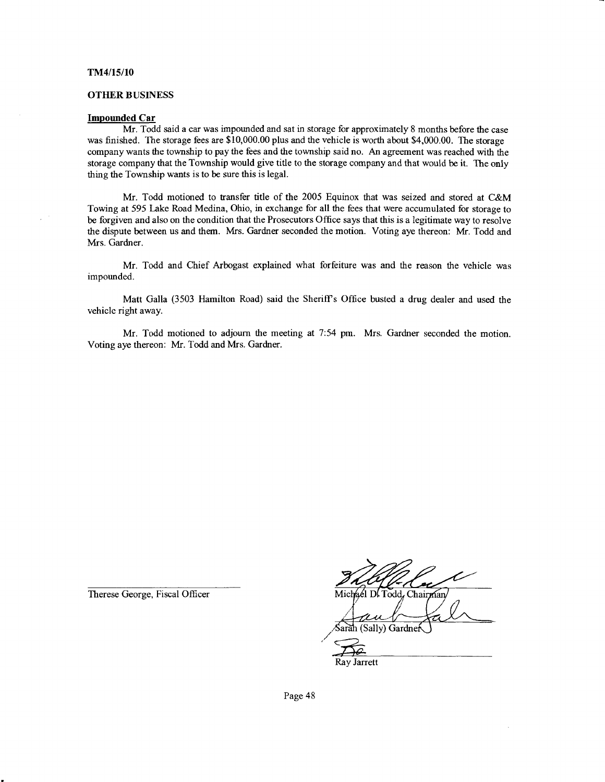#### TM4/15/10

#### **OTHER BUSINESS**

#### Impounded Car

Mr. Todd said a car was impounded and sat in storage for approximately 8 months before the case was finished. The storage fees are \$10,000.00 plus and the vehicle is worth about \$4,000.00. The storage company wants the township to pay the fees and the township said no. An agreement was reached with the storage company that the Township would give title to the storage company and that would be it. The only thing the Township wants is to be sure this is legal.

Mr. Todd motioried to transfer title of the 2005 Equinox that was seized and stored at C&M Towing at 595 take Road Medina, Ohio, in exchange for all the fees that were accumulated for storage to be forgiven and also on the condition that the Prosecutors Office says that this is a legitimate way to resolve the dispute between us and them. Mrs. Gardner seconded the motion. Voting aye thereon: Mr. Todd and Mrs. Gardner.

Mr. Todd and Chief Arbogast explained what forfeiture was and the reason the vehicle was impounded.

Matt Galla (3503 Hamilton Road) said the Sheriffs Office busted a drug dealer and used the vehicle right away.

Mr. Todd motioned to adjourn the meeting at 7:54 prn. Mrs. Gardner seconded the motion. Voting aye thereon: Mr. Todd and Mrs. Gardner.

Therese George, Fiscal Officer

Michael D. Todd, Chairman

arah (Sally) Gardne

Ray Jarrett

Page 48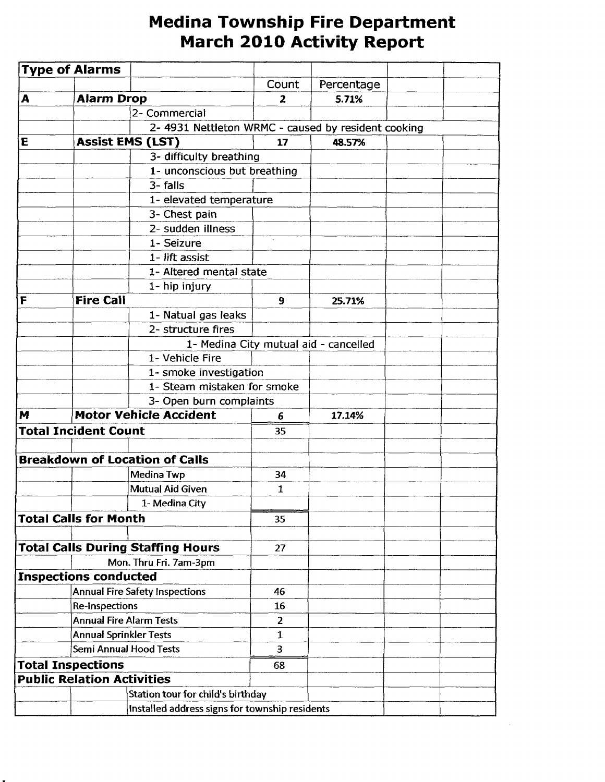# Medina Township Fire Department March 2O1O Activity Report

|                                       | <b>Type of Alarms</b>          |                                                    |                |                                       |  |
|---------------------------------------|--------------------------------|----------------------------------------------------|----------------|---------------------------------------|--|
|                                       |                                |                                                    | Count          | Percentage                            |  |
| A                                     | <b>Alarm Drop</b>              |                                                    | $\overline{2}$ | 5.71%                                 |  |
|                                       |                                | 2- Commercial                                      |                |                                       |  |
|                                       |                                | 2-4931 Nettleton WRMC - caused by resident cooking |                |                                       |  |
| E                                     |                                | <b>Assist EMS (LST)</b>                            | 17             | 48.57%                                |  |
|                                       |                                | 3- difficulty breathing                            |                |                                       |  |
|                                       |                                | 1- unconscious but breathing                       |                |                                       |  |
|                                       |                                | 3-falls                                            |                |                                       |  |
|                                       |                                | 1- elevated temperature                            |                |                                       |  |
|                                       |                                | 3- Chest pain                                      |                |                                       |  |
|                                       |                                | 2- sudden illness                                  |                |                                       |  |
|                                       |                                | 1- Seizure                                         |                |                                       |  |
|                                       |                                | 1- lift assist                                     |                |                                       |  |
|                                       |                                | 1- Altered mental state                            |                |                                       |  |
|                                       |                                | 1- hip injury                                      |                |                                       |  |
| İΕ                                    | <b>Fire Call</b>               |                                                    | 9              | 25.71%                                |  |
|                                       |                                | 1- Natual gas leaks                                |                |                                       |  |
|                                       |                                | 2- structure fires                                 |                |                                       |  |
|                                       |                                |                                                    |                | 1- Medina City mutual aid - cancelled |  |
|                                       |                                | 1- Vehicle Fire                                    |                |                                       |  |
|                                       |                                | 1- smoke investigation                             |                |                                       |  |
|                                       |                                | 1- Steam mistaken for smoke                        |                |                                       |  |
|                                       |                                | 3- Open burn complaints                            |                |                                       |  |
| M                                     |                                | <b>Motor Vehicle Accident</b>                      | 6              | 17.14%                                |  |
| <b>Total Incident Count</b>           |                                |                                                    | 35             |                                       |  |
|                                       |                                |                                                    |                |                                       |  |
|                                       |                                | <b>Breakdown of Location of Calls</b>              |                |                                       |  |
|                                       |                                | Medina Twp                                         | 34             |                                       |  |
|                                       |                                | <b>Mutual Aid Given</b>                            | 1              |                                       |  |
|                                       |                                | 1- Medina City                                     |                |                                       |  |
|                                       | <b>Total Calls for Month</b>   |                                                    | 35             |                                       |  |
|                                       |                                |                                                    |                |                                       |  |
|                                       |                                | <b>Total Calls During Staffing Hours</b>           | 27             |                                       |  |
|                                       |                                | Mon. Thru Fri. 7am-3pm                             |                |                                       |  |
|                                       | <b>Inspections conducted</b>   |                                                    |                |                                       |  |
| <b>Annual Fire Safety Inspections</b> |                                |                                                    | 46             |                                       |  |
|                                       | Re-Inspections                 |                                                    | 16             |                                       |  |
|                                       | <b>Annual Fire Alarm Tests</b> |                                                    | $\overline{2}$ |                                       |  |
|                                       | <b>Annual Sprinkler Tests</b>  |                                                    | $\mathbf{1}$   |                                       |  |
|                                       |                                | <b>Semi Annual Hood Tests</b>                      | 3              |                                       |  |
| <b>Total Inspections</b>              |                                |                                                    | 68             |                                       |  |
| <b>Public Relation Activities</b>     |                                |                                                    |                |                                       |  |
|                                       |                                | Station tour for child's birthday                  |                |                                       |  |
|                                       |                                | Installed address signs for township residents     |                |                                       |  |